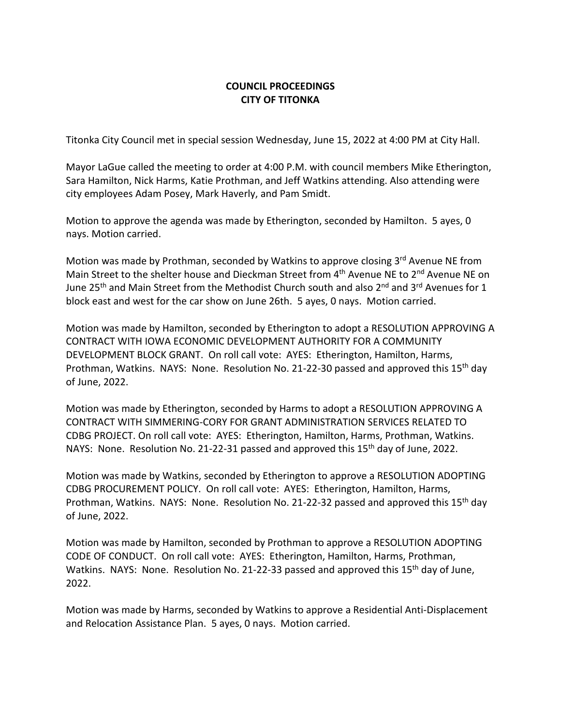## **COUNCIL PROCEEDINGS CITY OF TITONKA**

Titonka City Council met in special session Wednesday, June 15, 2022 at 4:00 PM at City Hall.

Mayor LaGue called the meeting to order at 4:00 P.M. with council members Mike Etherington, Sara Hamilton, Nick Harms, Katie Prothman, and Jeff Watkins attending. Also attending were city employees Adam Posey, Mark Haverly, and Pam Smidt.

Motion to approve the agenda was made by Etherington, seconded by Hamilton. 5 ayes, 0 nays. Motion carried.

Motion was made by Prothman, seconded by Watkins to approve closing 3rd Avenue NE from Main Street to the shelter house and Dieckman Street from 4<sup>th</sup> Avenue NE to 2<sup>nd</sup> Avenue NE on June 25<sup>th</sup> and Main Street from the Methodist Church south and also 2<sup>nd</sup> and 3<sup>rd</sup> Avenues for 1 block east and west for the car show on June 26th. 5 ayes, 0 nays. Motion carried.

Motion was made by Hamilton, seconded by Etherington to adopt a RESOLUTION APPROVING A CONTRACT WITH IOWA ECONOMIC DEVELOPMENT AUTHORITY FOR A COMMUNITY DEVELOPMENT BLOCK GRANT. On roll call vote: AYES: Etherington, Hamilton, Harms, Prothman, Watkins. NAYS: None. Resolution No. 21-22-30 passed and approved this 15<sup>th</sup> day of June, 2022.

Motion was made by Etherington, seconded by Harms to adopt a RESOLUTION APPROVING A CONTRACT WITH SIMMERING-CORY FOR GRANT ADMINISTRATION SERVICES RELATED TO CDBG PROJECT. On roll call vote: AYES: Etherington, Hamilton, Harms, Prothman, Watkins. NAYS: None. Resolution No. 21-22-31 passed and approved this 15<sup>th</sup> day of June, 2022.

Motion was made by Watkins, seconded by Etherington to approve a RESOLUTION ADOPTING CDBG PROCUREMENT POLICY. On roll call vote: AYES: Etherington, Hamilton, Harms, Prothman, Watkins. NAYS: None. Resolution No. 21-22-32 passed and approved this 15<sup>th</sup> day of June, 2022.

Motion was made by Hamilton, seconded by Prothman to approve a RESOLUTION ADOPTING CODE OF CONDUCT. On roll call vote: AYES: Etherington, Hamilton, Harms, Prothman, Watkins. NAYS: None. Resolution No. 21-22-33 passed and approved this 15<sup>th</sup> day of June, 2022.

Motion was made by Harms, seconded by Watkins to approve a Residential Anti-Displacement and Relocation Assistance Plan. 5 ayes, 0 nays. Motion carried.